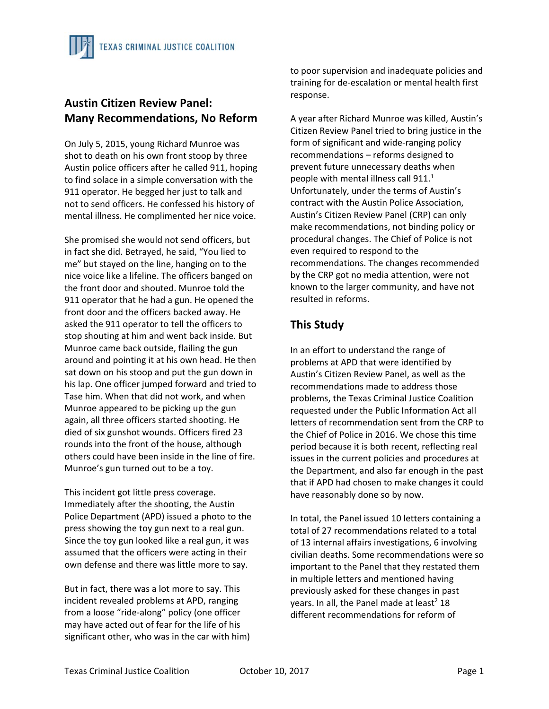## **Austin Citizen Review Panel: Many Recommendations, No Reform**

On July 5, 2015, young Richard Munroe was shot to death on his own front stoop by three Austin police officers after he called 911, hoping to find solace in a simple conversation with the 911 operator. He begged her just to talk and not to send officers. He confessed his history of mental illness. He complimented her nice voice.

She promised she would not send officers, but in fact she did. Betrayed, he said, "You lied to me" but stayed on the line, hanging on to the nice voice like a lifeline. The officers banged on the front door and shouted. Munroe told the 911 operator that he had a gun. He opened the front door and the officers backed away. He asked the 911 operator to tell the officers to stop shouting at him and went back inside. But Munroe came back outside, flailing the gun around and pointing it at his own head. He then sat down on his stoop and put the gun down in his lap. One officer jumped forward and tried to Tase him. When that did not work, and when Munroe appeared to be picking up the gun again, all three officers started shooting. He died of six gunshot wounds. Officers fired 23 rounds into the front of the house, although others could have been inside in the line of fire. Munroe's gun turned out to be a toy.

This incident got little press coverage. Immediately after the shooting, the Austin Police Department (APD) issued a photo to the press showing the toy gun next to a real gun. Since the toy gun looked like a real gun, it was assumed that the officers were acting in their own defense and there was little more to say.

But in fact, there was a lot more to say. This incident revealed problems at APD, ranging from a loose "ride‐along" policy (one officer may have acted out of fear for the life of his significant other, who was in the car with him)

to poor supervision and inadequate policies and training for de‐escalation or mental health first response.

A year after Richard Munroe was killed, Austin's Citizen Review Panel tried to bring justice in the form of significant and wide-ranging policy recommendations – reforms designed to prevent future unnecessary deaths when people with mental illness call  $911.<sup>1</sup>$ Unfortunately, under the terms of Austin's contract with the Austin Police Association, Austin's Citizen Review Panel (CRP) can only make recommendations, not binding policy or procedural changes. The Chief of Police is not even required to respond to the recommendations. The changes recommended by the CRP got no media attention, were not known to the larger community, and have not resulted in reforms.

## **This Study**

In an effort to understand the range of problems at APD that were identified by Austin's Citizen Review Panel, as well as the recommendations made to address those problems, the Texas Criminal Justice Coalition requested under the Public Information Act all letters of recommendation sent from the CRP to the Chief of Police in 2016. We chose this time period because it is both recent, reflecting real issues in the current policies and procedures at the Department, and also far enough in the past that if APD had chosen to make changes it could have reasonably done so by now.

In total, the Panel issued 10 letters containing a total of 27 recommendations related to a total of 13 internal affairs investigations, 6 involving civilian deaths. Some recommendations were so important to the Panel that they restated them in multiple letters and mentioned having previously asked for these changes in past years. In all, the Panel made at least<sup>2</sup> 18 different recommendations for reform of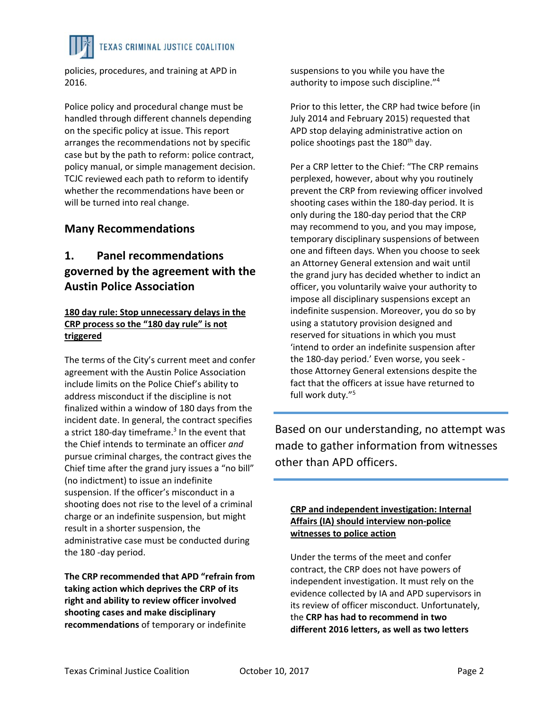policies, procedures, and training at APD in 2016.

Police policy and procedural change must be handled through different channels depending on the specific policy at issue. This report arranges the recommendations not by specific case but by the path to reform: police contract, policy manual, or simple management decision. TCJC reviewed each path to reform to identify whether the recommendations have been or will be turned into real change.

## **Many Recommendations**

## **1. Panel recommendations governed by the agreement with the Austin Police Association**

### **180 day rule: Stop unnecessary delays in the CRP process so the "180 day rule" is not triggered**

The terms of the City's current meet and confer agreement with the Austin Police Association include limits on the Police Chief's ability to address misconduct if the discipline is not finalized within a window of 180 days from the incident date. In general, the contract specifies a strict 180-day timeframe. $3$  In the event that the Chief intends to terminate an officer *and* pursue criminal charges, the contract gives the Chief time after the grand jury issues a "no bill" (no indictment) to issue an indefinite suspension. If the officer's misconduct in a shooting does not rise to the level of a criminal charge or an indefinite suspension, but might result in a shorter suspension, the administrative case must be conducted during the 180 ‐day period.

**The CRP recommended that APD "refrain from taking action which deprives the CRP of its right and ability to review officer involved shooting cases and make disciplinary recommendations** of temporary or indefinite

suspensions to you while you have the authority to impose such discipline."4

Prior to this letter, the CRP had twice before (in July 2014 and February 2015) requested that APD stop delaying administrative action on police shootings past the 180<sup>th</sup> day.

Per a CRP letter to the Chief: "The CRP remains perplexed, however, about why you routinely prevent the CRP from reviewing officer involved shooting cases within the 180‐day period. It is only during the 180‐day period that the CRP may recommend to you, and you may impose, temporary disciplinary suspensions of between one and fifteen days. When you choose to seek an Attorney General extension and wait until the grand jury has decided whether to indict an officer, you voluntarily waive your authority to impose all disciplinary suspensions except an indefinite suspension. Moreover, you do so by using a statutory provision designed and reserved for situations in which you must 'intend to order an indefinite suspension after the 180‐day period.' Even worse, you seek ‐ those Attorney General extensions despite the fact that the officers at issue have returned to full work duty."<sup>5</sup>

Based on our understanding, no attempt was made to gather information from witnesses other than APD officers.

#### **CRP and independent investigation: Internal Affairs (IA) should interview non‐police witnesses to police action**

Under the terms of the meet and confer contract, the CRP does not have powers of independent investigation. It must rely on the evidence collected by IA and APD supervisors in its review of officer misconduct. Unfortunately, the **CRP has had to recommend in two different 2016 letters, as well as two letters**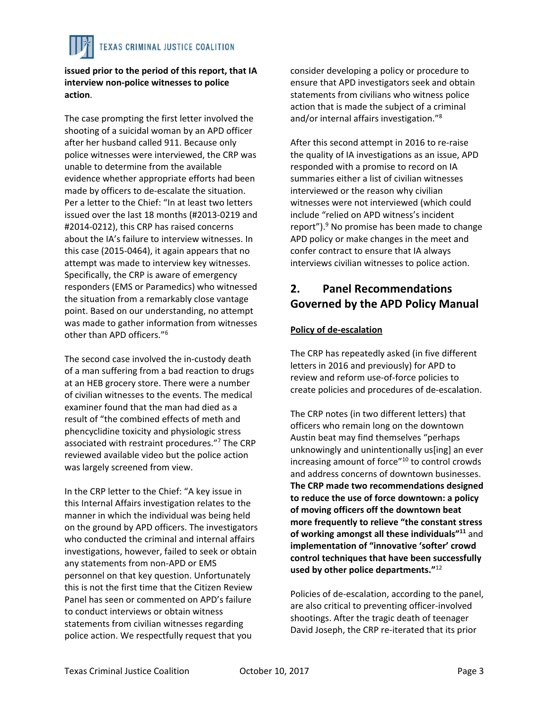**issued prior to the period of this report, that IA interview non‐police witnesses to police action**.

The case prompting the first letter involved the shooting of a suicidal woman by an APD officer after her husband called 911. Because only police witnesses were interviewed, the CRP was unable to determine from the available evidence whether appropriate efforts had been made by officers to de‐escalate the situation. Per a letter to the Chief: "In at least two letters issued over the last 18 months (#2013‐0219 and #2014‐0212), this CRP has raised concerns about the IA's failure to interview witnesses. In this case (2015‐0464), it again appears that no attempt was made to interview key witnesses. Specifically, the CRP is aware of emergency responders (EMS or Paramedics) who witnessed the situation from a remarkably close vantage point. Based on our understanding, no attempt was made to gather information from witnesses other than APD officers."6

The second case involved the in‐custody death of a man suffering from a bad reaction to drugs at an HEB grocery store. There were a number of civilian witnesses to the events. The medical examiner found that the man had died as a result of "the combined effects of meth and phencyclidine toxicity and physiologic stress associated with restraint procedures."7 The CRP reviewed available video but the police action was largely screened from view.

In the CRP letter to the Chief: "A key issue in this Internal Affairs investigation relates to the manner in which the individual was being held on the ground by APD officers. The investigators who conducted the criminal and internal affairs investigations, however, failed to seek or obtain any statements from non‐APD or EMS personnel on that key question. Unfortunately this is not the first time that the Citizen Review Panel has seen or commented on APD's failure to conduct interviews or obtain witness statements from civilian witnesses regarding police action. We respectfully request that you

consider developing a policy or procedure to ensure that APD investigators seek and obtain statements from civilians who witness police action that is made the subject of a criminal and/or internal affairs investigation."8

After this second attempt in 2016 to re‐raise the quality of IA investigations as an issue, APD responded with a promise to record on IA summaries either a list of civilian witnesses interviewed or the reason why civilian witnesses were not interviewed (which could include "relied on APD witness's incident report").<sup>9</sup> No promise has been made to change APD policy or make changes in the meet and confer contract to ensure that IA always interviews civilian witnesses to police action.

## **2. Panel Recommendations Governed by the APD Policy Manual**

## **Policy of de‐escalation**

The CRP has repeatedly asked (in five different letters in 2016 and previously) for APD to review and reform use‐of‐force policies to create policies and procedures of de‐escalation.

The CRP notes (in two different letters) that officers who remain long on the downtown Austin beat may find themselves "perhaps unknowingly and unintentionally us[ing] an ever increasing amount of force"10 to control crowds and address concerns of downtown businesses. **The CRP made two recommendations designed to reduce the use of force downtown: a policy of moving officers off the downtown beat more frequently to relieve "the constant stress of working amongst all these individuals"11** and **implementation of "innovative 'softer' crowd control techniques that have been successfully used by other police departments."**<sup>12</sup>

Policies of de‐escalation, according to the panel, are also critical to preventing officer‐involved shootings. After the tragic death of teenager David Joseph, the CRP re‐iterated that its prior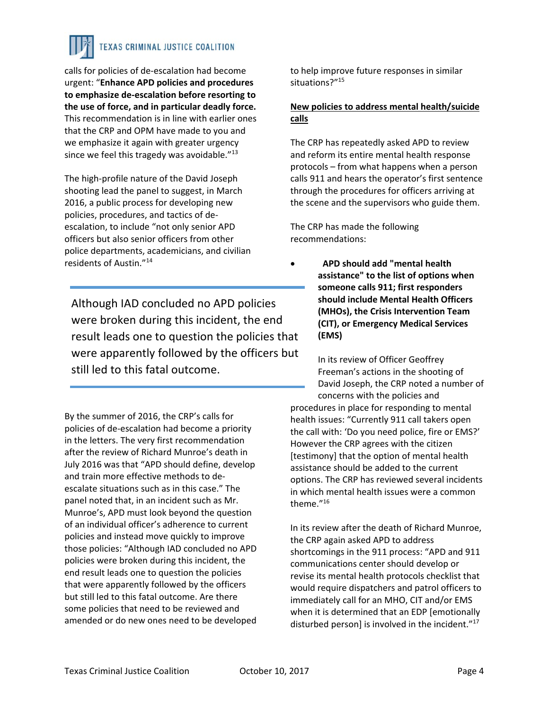calls for policies of de‐escalation had become urgent: "**Enhance APD policies and procedures to emphasize de‐escalation before resorting to the use of force, and in particular deadly force.** This recommendation is in line with earlier ones that the CRP and OPM have made to you and we emphasize it again with greater urgency since we feel this tragedy was avoidable. $"^{13}$ 

The high‐profile nature of the David Joseph shooting lead the panel to suggest, in March 2016, a public process for developing new policies, procedures, and tactics of de‐ escalation, to include "not only senior APD officers but also senior officers from other police departments, academicians, and civilian residents of Austin."14

Although IAD concluded no APD policies were broken during this incident, the end result leads one to question the policies that were apparently followed by the officers but still led to this fatal outcome.

By the summer of 2016, the CRP's calls for policies of de‐escalation had become a priority in the letters. The very first recommendation after the review of Richard Munroe's death in July 2016 was that "APD should define, develop and train more effective methods to de‐ escalate situations such as in this case." The panel noted that, in an incident such as Mr. Munroe's, APD must look beyond the question of an individual officer's adherence to current policies and instead move quickly to improve those policies: "Although IAD concluded no APD policies were broken during this incident, the end result leads one to question the policies that were apparently followed by the officers but still led to this fatal outcome. Are there some policies that need to be reviewed and amended or do new ones need to be developed

to help improve future responses in similar situations?"<sup>15</sup>

### **New policies to address mental health/suicide calls**

The CRP has repeatedly asked APD to review and reform its entire mental health response protocols – from what happens when a person calls 911 and hears the operator's first sentence through the procedures for officers arriving at the scene and the supervisors who guide them.

The CRP has made the following recommendations:

 **APD should add "mental health assistance" to the list of options when someone calls 911; first responders should include Mental Health Officers (MHOs), the Crisis Intervention Team (CIT), or Emergency Medical Services (EMS)**

In its review of Officer Geoffrey Freeman's actions in the shooting of David Joseph, the CRP noted a number of concerns with the policies and procedures in place for responding to mental health issues: "Currently 911 call takers open the call with: 'Do you need police, fire or EMS?' However the CRP agrees with the citizen [testimony] that the option of mental health assistance should be added to the current options. The CRP has reviewed several incidents in which mental health issues were a common theme."16

In its review after the death of Richard Munroe, the CRP again asked APD to address shortcomings in the 911 process: "APD and 911 communications center should develop or revise its mental health protocols checklist that would require dispatchers and patrol officers to immediately call for an MHO, CIT and/or EMS when it is determined that an EDP [emotionally disturbed person] is involved in the incident."<sup>17</sup>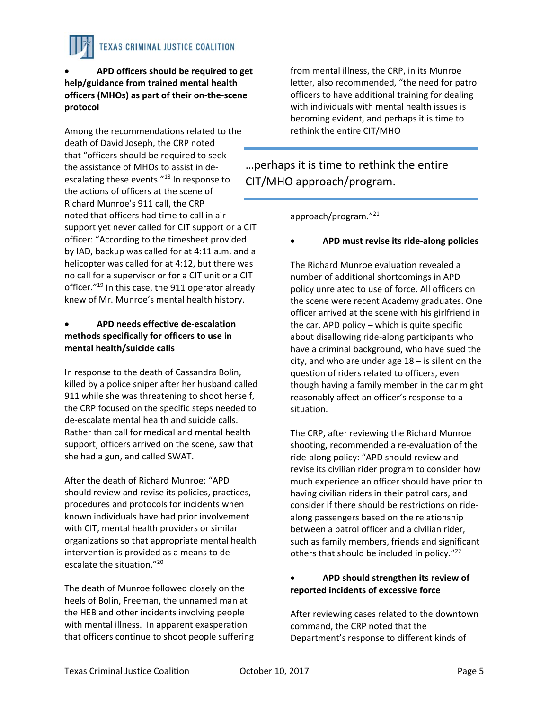

Among the recommendations related to the death of David Joseph, the CRP noted that "officers should be required to seek the assistance of MHOs to assist in de‐ escalating these events."18 In response to the actions of officers at the scene of Richard Munroe's 911 call, the CRP noted that officers had time to call in air support yet never called for CIT support or a CIT officer: "According to the timesheet provided by IAD, backup was called for at 4:11 a.m. and a helicopter was called for at 4:12, but there was no call for a supervisor or for a CIT unit or a CIT officer."19 In this case, the 911 operator already knew of Mr. Munroe's mental health history.

### **APD needs effective de‐escalation methods specifically for officers to use in mental health/suicide calls**

In response to the death of Cassandra Bolin, killed by a police sniper after her husband called 911 while she was threatening to shoot herself, the CRP focused on the specific steps needed to de‐escalate mental health and suicide calls. Rather than call for medical and mental health support, officers arrived on the scene, saw that she had a gun, and called SWAT.

After the death of Richard Munroe: "APD should review and revise its policies, practices, procedures and protocols for incidents when known individuals have had prior involvement with CIT, mental health providers or similar organizations so that appropriate mental health intervention is provided as a means to de‐ escalate the situation."20

The death of Munroe followed closely on the heels of Bolin, Freeman, the unnamed man at the HEB and other incidents involving people with mental illness. In apparent exasperation that officers continue to shoot people suffering

from mental illness, the CRP, in its Munroe letter, also recommended, "the need for patrol officers to have additional training for dealing with individuals with mental health issues is becoming evident, and perhaps it is time to rethink the entire CIT/MHO

## …perhaps it is time to rethink the entire CIT/MHO approach/program.

approach/program."21

### **APD must revise its ride‐along policies**

The Richard Munroe evaluation revealed a number of additional shortcomings in APD policy unrelated to use of force. All officers on the scene were recent Academy graduates. One officer arrived at the scene with his girlfriend in the car. APD policy – which is quite specific about disallowing ride‐along participants who have a criminal background, who have sued the city, and who are under age 18 – is silent on the question of riders related to officers, even though having a family member in the car might reasonably affect an officer's response to a situation.

The CRP, after reviewing the Richard Munroe shooting, recommended a re‐evaluation of the ride‐along policy: "APD should review and revise its civilian rider program to consider how much experience an officer should have prior to having civilian riders in their patrol cars, and consider if there should be restrictions on ride‐ along passengers based on the relationship between a patrol officer and a civilian rider, such as family members, friends and significant others that should be included in policy."<sup>22</sup>

#### **APD should strengthen its review of reported incidents of excessive force**

After reviewing cases related to the downtown command, the CRP noted that the Department's response to different kinds of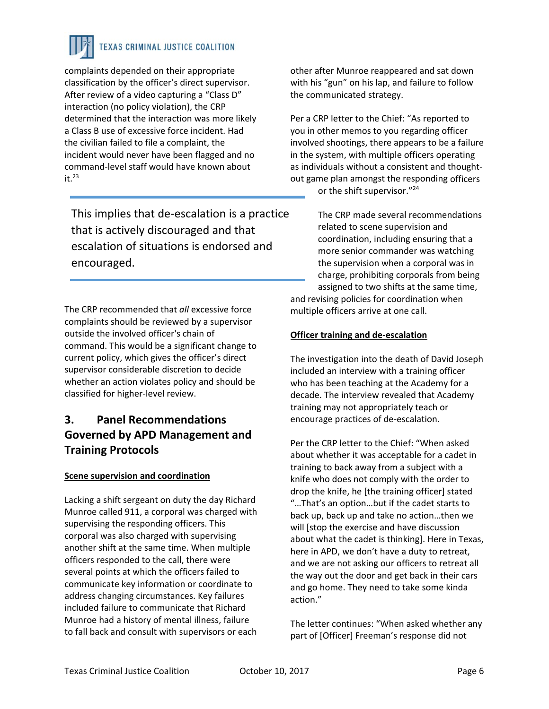complaints depended on their appropriate classification by the officer's direct supervisor. After review of a video capturing a "Class D" interaction (no policy violation), the CRP determined that the interaction was more likely a Class B use of excessive force incident. Had the civilian failed to file a complaint, the incident would never have been flagged and no command‐level staff would have known about  $it.<sup>23</sup>$ 

This implies that de‐escalation is a practice that is actively discouraged and that escalation of situations is endorsed and encouraged.

The CRP recommended that *all* excessive force complaints should be reviewed by a supervisor outside the involved officer's chain of command. This would be a significant change to current policy, which gives the officer's direct supervisor considerable discretion to decide whether an action violates policy and should be classified for higher‐level review.

## **3. Panel Recommendations Governed by APD Management and Training Protocols**

### **Scene supervision and coordination**

Lacking a shift sergeant on duty the day Richard Munroe called 911, a corporal was charged with supervising the responding officers. This corporal was also charged with supervising another shift at the same time. When multiple officers responded to the call, there were several points at which the officers failed to communicate key information or coordinate to address changing circumstances. Key failures included failure to communicate that Richard Munroe had a history of mental illness, failure to fall back and consult with supervisors or each

other after Munroe reappeared and sat down with his "gun" on his lap, and failure to follow the communicated strategy.

Per a CRP letter to the Chief: "As reported to you in other memos to you regarding officer involved shootings, there appears to be a failure in the system, with multiple officers operating as individuals without a consistent and thought‐ out game plan amongst the responding officers or the shift supervisor."24

The CRP made several recommendations related to scene supervision and coordination, including ensuring that a more senior commander was watching the supervision when a corporal was in charge, prohibiting corporals from being assigned to two shifts at the same time, and revising policies for coordination when multiple officers arrive at one call.

### **Officer training and de‐escalation**

The investigation into the death of David Joseph included an interview with a training officer who has been teaching at the Academy for a decade. The interview revealed that Academy training may not appropriately teach or encourage practices of de‐escalation.

Per the CRP letter to the Chief: "When asked about whether it was acceptable for a cadet in training to back away from a subject with a knife who does not comply with the order to drop the knife, he [the training officer] stated "…That's an option…but if the cadet starts to back up, back up and take no action…then we will [stop the exercise and have discussion about what the cadet is thinking]. Here in Texas, here in APD, we don't have a duty to retreat, and we are not asking our officers to retreat all the way out the door and get back in their cars and go home. They need to take some kinda action."

The letter continues: "When asked whether any part of [Officer] Freeman's response did not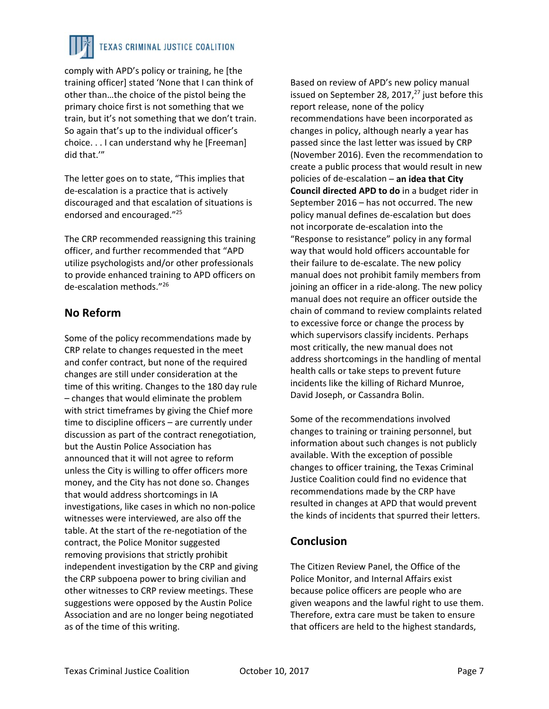

comply with APD's policy or training, he [the training officer] stated 'None that I can think of other than…the choice of the pistol being the primary choice first is not something that we train, but it's not something that we don't train. So again that's up to the individual officer's choice. . . I can understand why he [Freeman] did that.'"

The letter goes on to state, "This implies that de‐escalation is a practice that is actively discouraged and that escalation of situations is endorsed and encouraged."25

The CRP recommended reassigning this training officer, and further recommended that "APD utilize psychologists and/or other professionals to provide enhanced training to APD officers on de‐escalation methods."26

## **No Reform**

Some of the policy recommendations made by CRP relate to changes requested in the meet and confer contract, but none of the required changes are still under consideration at the time of this writing. Changes to the 180 day rule – changes that would eliminate the problem with strict timeframes by giving the Chief more time to discipline officers – are currently under discussion as part of the contract renegotiation, but the Austin Police Association has announced that it will not agree to reform unless the City is willing to offer officers more money, and the City has not done so. Changes that would address shortcomings in IA investigations, like cases in which no non‐police witnesses were interviewed, are also off the table. At the start of the re‐negotiation of the contract, the Police Monitor suggested removing provisions that strictly prohibit independent investigation by the CRP and giving the CRP subpoena power to bring civilian and other witnesses to CRP review meetings. These suggestions were opposed by the Austin Police Association and are no longer being negotiated as of the time of this writing.

Based on review of APD's new policy manual issued on September 28, 2017, $^{27}$  just before this report release, none of the policy recommendations have been incorporated as changes in policy, although nearly a year has passed since the last letter was issued by CRP (November 2016). Even the recommendation to create a public process that would result in new policies of de‐escalation – **an idea that City Council directed APD to do** in a budget rider in September 2016 – has not occurred. The new policy manual defines de‐escalation but does not incorporate de‐escalation into the "Response to resistance" policy in any formal way that would hold officers accountable for their failure to de‐escalate. The new policy manual does not prohibit family members from joining an officer in a ride-along. The new policy manual does not require an officer outside the chain of command to review complaints related to excessive force or change the process by which supervisors classify incidents. Perhaps most critically, the new manual does not address shortcomings in the handling of mental health calls or take steps to prevent future incidents like the killing of Richard Munroe, David Joseph, or Cassandra Bolin.

Some of the recommendations involved changes to training or training personnel, but information about such changes is not publicly available. With the exception of possible changes to officer training, the Texas Criminal Justice Coalition could find no evidence that recommendations made by the CRP have resulted in changes at APD that would prevent the kinds of incidents that spurred their letters.

## **Conclusion**

The Citizen Review Panel, the Office of the Police Monitor, and Internal Affairs exist because police officers are people who are given weapons and the lawful right to use them. Therefore, extra care must be taken to ensure that officers are held to the highest standards,